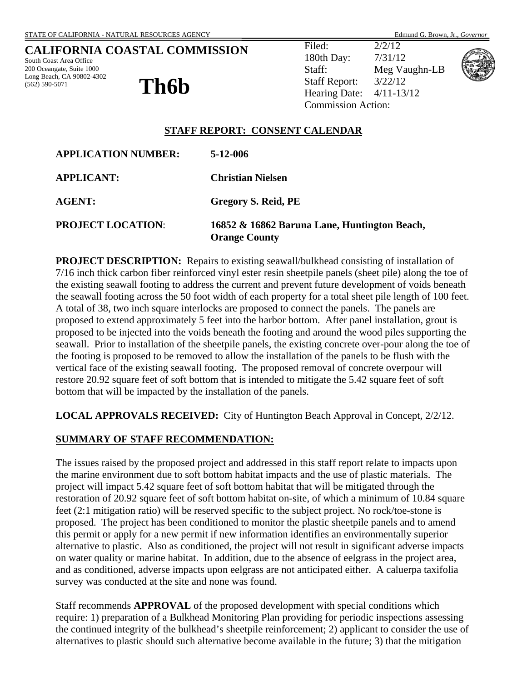South Coast Area Office 200 Oceangate, Suite 1000 Long Beach, CA 90802-4302 (562) 590-5071

**Th6b** 

Filed: 2/2/12 180th Day: 7/31/12 Staff: Meg Vaughn-LB Staff Report: 3/22/12 Hearing Date: 4/11-13/12 Commission Action:



## **STAFF REPORT: CONSENT CALENDAR**

| <b>APPLICATION NUMBER:</b> | $5 - 12 - 006$                                                       |
|----------------------------|----------------------------------------------------------------------|
| <b>APPLICANT:</b>          | <b>Christian Nielsen</b>                                             |
| <b>AGENT:</b>              | Gregory S. Reid, PE                                                  |
| <b>PROJECT LOCATION:</b>   | 16852 & 16862 Baruna Lane, Huntington Beach,<br><b>Orange County</b> |

**PROJECT DESCRIPTION:** Repairs to existing seawall/bulkhead consisting of installation of 7/16 inch thick carbon fiber reinforced vinyl ester resin sheetpile panels (sheet pile) along the toe of the existing seawall footing to address the current and prevent future development of voids beneath the seawall footing across the 50 foot width of each property for a total sheet pile length of 100 feet. A total of 38, two inch square interlocks are proposed to connect the panels. The panels are proposed to extend approximately 5 feet into the harbor bottom. After panel installation, grout is proposed to be injected into the voids beneath the footing and around the wood piles supporting the seawall. Prior to installation of the sheetpile panels, the existing concrete over-pour along the toe of the footing is proposed to be removed to allow the installation of the panels to be flush with the vertical face of the existing seawall footing. The proposed removal of concrete overpour will restore 20.92 square feet of soft bottom that is intended to mitigate the 5.42 square feet of soft bottom that will be impacted by the installation of the panels.

**LOCAL APPROVALS RECEIVED:** City of Huntington Beach Approval in Concept, 2/2/12.

## **SUMMARY OF STAFF RECOMMENDATION:**

The issues raised by the proposed project and addressed in this staff report relate to impacts upon the marine environment due to soft bottom habitat impacts and the use of plastic materials. The project will impact 5.42 square feet of soft bottom habitat that will be mitigated through the restoration of 20.92 square feet of soft bottom habitat on-site, of which a minimum of 10.84 square feet (2:1 mitigation ratio) will be reserved specific to the subject project. No rock/toe-stone is proposed. The project has been conditioned to monitor the plastic sheetpile panels and to amend this permit or apply for a new permit if new information identifies an environmentally superior alternative to plastic. Also as conditioned, the project will not result in significant adverse impacts on water quality or marine habitat. In addition, due to the absence of eelgrass in the project area, and as conditioned, adverse impacts upon eelgrass are not anticipated either. A caluerpa taxifolia survey was conducted at the site and none was found.

Staff recommends **APPROVAL** of the proposed development with special conditions which require: 1) preparation of a Bulkhead Monitoring Plan providing for periodic inspections assessing the continued integrity of the bulkhead's sheetpile reinforcement; 2) applicant to consider the use of alternatives to plastic should such alternative become available in the future; 3) that the mitigation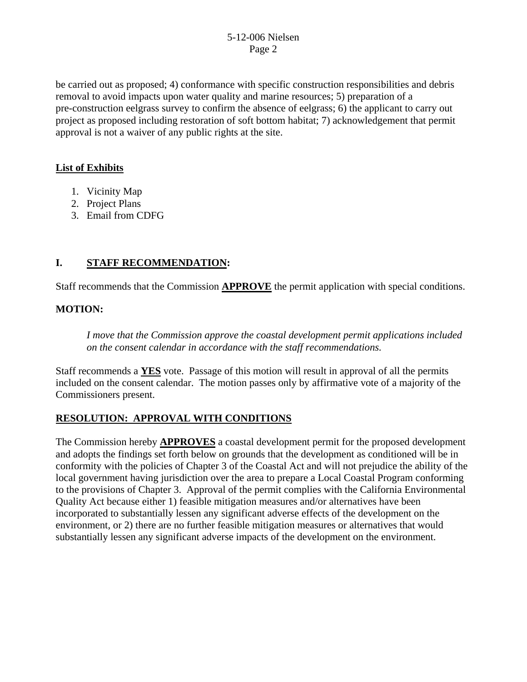be carried out as proposed; 4) conformance with specific construction responsibilities and debris removal to avoid impacts upon water quality and marine resources; 5) preparation of a pre-construction eelgrass survey to confirm the absence of eelgrass; 6) the applicant to carry out project as proposed including restoration of soft bottom habitat; 7) acknowledgement that permit approval is not a waiver of any public rights at the site.

## **List of Exhibits**

- 1. Vicinity Map
- 2. Project Plans
- 3. Email from CDFG

# **I. STAFF RECOMMENDATION:**

Staff recommends that the Commission **APPROVE** the permit application with special conditions.

# **MOTION:**

*I move that the Commission approve the coastal development permit applications included on the consent calendar in accordance with the staff recommendations.*

Staff recommends a **YES** vote. Passage of this motion will result in approval of all the permits included on the consent calendar. The motion passes only by affirmative vote of a majority of the Commissioners present.

# **RESOLUTION: APPROVAL WITH CONDITIONS**

The Commission hereby **APPROVES** a coastal development permit for the proposed development and adopts the findings set forth below on grounds that the development as conditioned will be in conformity with the policies of Chapter 3 of the Coastal Act and will not prejudice the ability of the local government having jurisdiction over the area to prepare a Local Coastal Program conforming to the provisions of Chapter 3. Approval of the permit complies with the California Environmental Quality Act because either 1) feasible mitigation measures and/or alternatives have been incorporated to substantially lessen any significant adverse effects of the development on the environment, or 2) there are no further feasible mitigation measures or alternatives that would substantially lessen any significant adverse impacts of the development on the environment.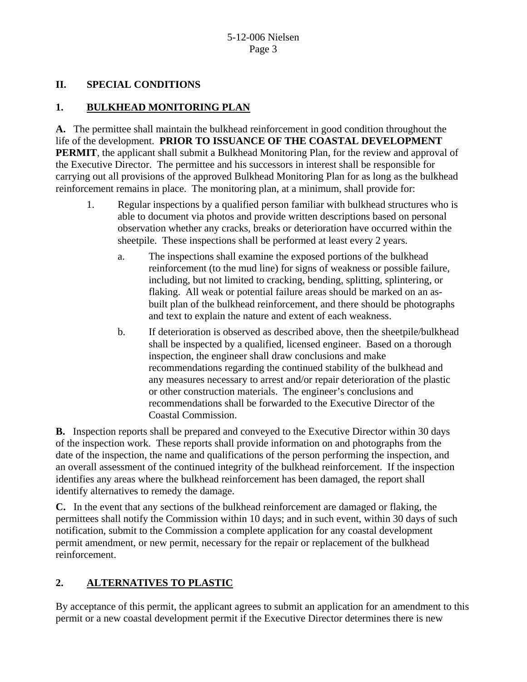## **II. SPECIAL CONDITIONS**

## **1. BULKHEAD MONITORING PLAN**

**A.** The permittee shall maintain the bulkhead reinforcement in good condition throughout the life of the development. **PRIOR TO ISSUANCE OF THE COASTAL DEVELOPMENT PERMIT**, the applicant shall submit a Bulkhead Monitoring Plan, for the review and approval of the Executive Director. The permittee and his successors in interest shall be responsible for carrying out all provisions of the approved Bulkhead Monitoring Plan for as long as the bulkhead reinforcement remains in place. The monitoring plan, at a minimum, shall provide for:

- 1. Regular inspections by a qualified person familiar with bulkhead structures who is able to document via photos and provide written descriptions based on personal observation whether any cracks, breaks or deterioration have occurred within the sheetpile. These inspections shall be performed at least every 2 years.
	- a. The inspections shall examine the exposed portions of the bulkhead reinforcement (to the mud line) for signs of weakness or possible failure, including, but not limited to cracking, bending, splitting, splintering, or flaking. All weak or potential failure areas should be marked on an asbuilt plan of the bulkhead reinforcement, and there should be photographs and text to explain the nature and extent of each weakness.
	- b. If deterioration is observed as described above, then the sheetpile/bulkhead shall be inspected by a qualified, licensed engineer. Based on a thorough inspection, the engineer shall draw conclusions and make recommendations regarding the continued stability of the bulkhead and any measures necessary to arrest and/or repair deterioration of the plastic or other construction materials. The engineer's conclusions and recommendations shall be forwarded to the Executive Director of the Coastal Commission.

**B.** Inspection reports shall be prepared and conveyed to the Executive Director within 30 days of the inspection work. These reports shall provide information on and photographs from the date of the inspection, the name and qualifications of the person performing the inspection, and an overall assessment of the continued integrity of the bulkhead reinforcement. If the inspection identifies any areas where the bulkhead reinforcement has been damaged, the report shall identify alternatives to remedy the damage.

**C.** In the event that any sections of the bulkhead reinforcement are damaged or flaking, the permittees shall notify the Commission within 10 days; and in such event, within 30 days of such notification, submit to the Commission a complete application for any coastal development permit amendment, or new permit, necessary for the repair or replacement of the bulkhead reinforcement.

# **2. ALTERNATIVES TO PLASTIC**

By acceptance of this permit, the applicant agrees to submit an application for an amendment to this permit or a new coastal development permit if the Executive Director determines there is new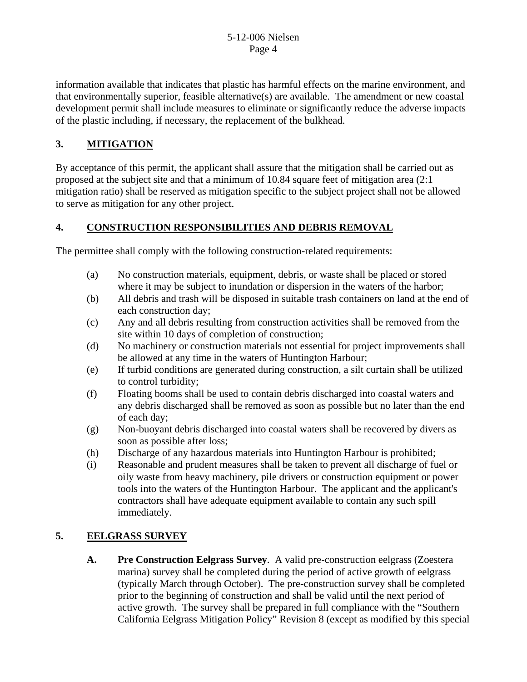information available that indicates that plastic has harmful effects on the marine environment, and that environmentally superior, feasible alternative(s) are available. The amendment or new coastal development permit shall include measures to eliminate or significantly reduce the adverse impacts of the plastic including, if necessary, the replacement of the bulkhead.

# **3. MITIGATION**

By acceptance of this permit, the applicant shall assure that the mitigation shall be carried out as proposed at the subject site and that a minimum of 10.84 square feet of mitigation area (2:1 mitigation ratio) shall be reserved as mitigation specific to the subject project shall not be allowed to serve as mitigation for any other project.

# **4. CONSTRUCTION RESPONSIBILITIES AND DEBRIS REMOVAL**

The permittee shall comply with the following construction-related requirements:

- (a) No construction materials, equipment, debris, or waste shall be placed or stored where it may be subject to inundation or dispersion in the waters of the harbor;
- (b) All debris and trash will be disposed in suitable trash containers on land at the end of each construction day;
- (c) Any and all debris resulting from construction activities shall be removed from the site within 10 days of completion of construction;
- (d) No machinery or construction materials not essential for project improvements shall be allowed at any time in the waters of Huntington Harbour;
- (e) If turbid conditions are generated during construction, a silt curtain shall be utilized to control turbidity;
- (f) Floating booms shall be used to contain debris discharged into coastal waters and any debris discharged shall be removed as soon as possible but no later than the end of each day;
- (g) Non-buoyant debris discharged into coastal waters shall be recovered by divers as soon as possible after loss;
- (h) Discharge of any hazardous materials into Huntington Harbour is prohibited;
- (i) Reasonable and prudent measures shall be taken to prevent all discharge of fuel or oily waste from heavy machinery, pile drivers or construction equipment or power tools into the waters of the Huntington Harbour. The applicant and the applicant's contractors shall have adequate equipment available to contain any such spill immediately.

# **5. EELGRASS SURVEY**

**A. Pre Construction Eelgrass Survey**. A valid pre-construction eelgrass (Zoestera marina) survey shall be completed during the period of active growth of eelgrass (typically March through October). The pre-construction survey shall be completed prior to the beginning of construction and shall be valid until the next period of active growth. The survey shall be prepared in full compliance with the "Southern California Eelgrass Mitigation Policy" Revision 8 (except as modified by this special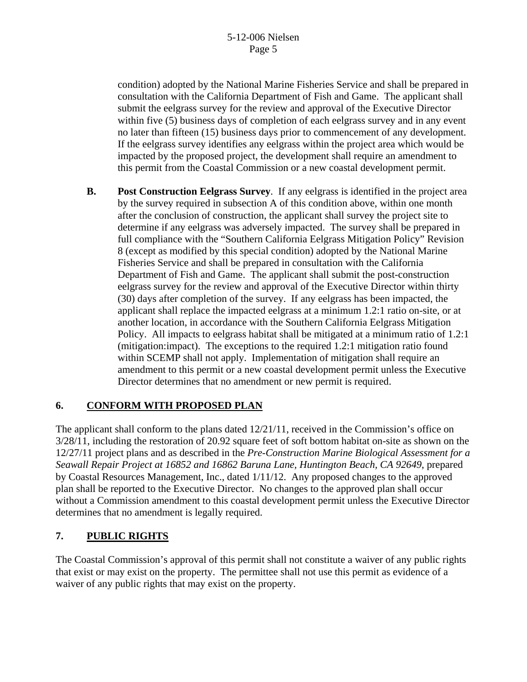condition) adopted by the National Marine Fisheries Service and shall be prepared in consultation with the California Department of Fish and Game. The applicant shall submit the eelgrass survey for the review and approval of the Executive Director within five (5) business days of completion of each eelgrass survey and in any event no later than fifteen (15) business days prior to commencement of any development. If the eelgrass survey identifies any eelgrass within the project area which would be impacted by the proposed project, the development shall require an amendment to this permit from the Coastal Commission or a new coastal development permit.

**B. Post Construction Eelgrass Survey**. If any eelgrass is identified in the project area by the survey required in subsection A of this condition above, within one month after the conclusion of construction, the applicant shall survey the project site to determine if any eelgrass was adversely impacted. The survey shall be prepared in full compliance with the "Southern California Eelgrass Mitigation Policy" Revision 8 (except as modified by this special condition) adopted by the National Marine Fisheries Service and shall be prepared in consultation with the California Department of Fish and Game. The applicant shall submit the post-construction eelgrass survey for the review and approval of the Executive Director within thirty (30) days after completion of the survey. If any eelgrass has been impacted, the applicant shall replace the impacted eelgrass at a minimum 1.2:1 ratio on-site, or at another location, in accordance with the Southern California Eelgrass Mitigation Policy. All impacts to eelgrass habitat shall be mitigated at a minimum ratio of 1.2:1 (mitigation:impact). The exceptions to the required 1.2:1 mitigation ratio found within SCEMP shall not apply. Implementation of mitigation shall require an amendment to this permit or a new coastal development permit unless the Executive Director determines that no amendment or new permit is required.

# **6. CONFORM WITH PROPOSED PLAN**

The applicant shall conform to the plans dated  $12/21/11$ , received in the Commission's office on 3/28/11, including the restoration of 20.92 square feet of soft bottom habitat on-site as shown on the 12/27/11 project plans and as described in the *Pre-Construction Marine Biological Assessment for a Seawall Repair Project at 16852 and 16862 Baruna Lane, Huntington Beach, CA 92649*, prepared by Coastal Resources Management, Inc., dated 1/11/12. Any proposed changes to the approved plan shall be reported to the Executive Director. No changes to the approved plan shall occur without a Commission amendment to this coastal development permit unless the Executive Director determines that no amendment is legally required.

# **7. PUBLIC RIGHTS**

The Coastal Commission's approval of this permit shall not constitute a waiver of any public rights that exist or may exist on the property. The permittee shall not use this permit as evidence of a waiver of any public rights that may exist on the property.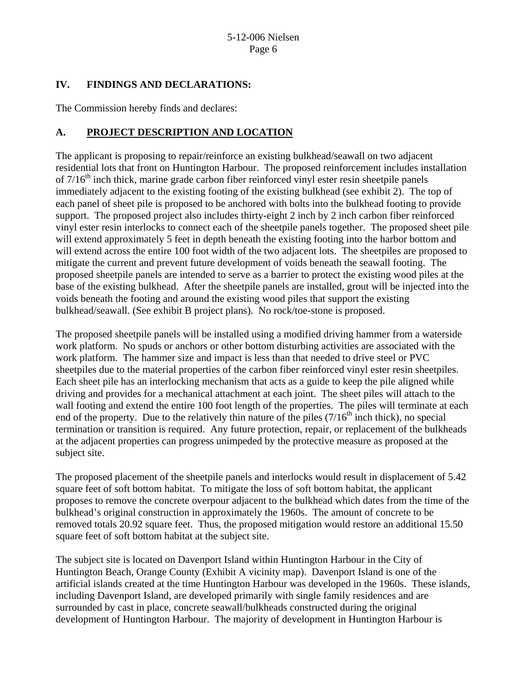## **IV. FINDINGS AND DECLARATIONS:**

The Commission hereby finds and declares:

# **A. PROJECT DESCRIPTION AND LOCATION**

The applicant is proposing to repair/reinforce an existing bulkhead/seawall on two adjacent residential lots that front on Huntington Harbour. The proposed reinforcement includes installation of  $7/16<sup>th</sup>$  inch thick, marine grade carbon fiber reinforced vinyl ester resin sheetpile panels immediately adjacent to the existing footing of the existing bulkhead (see exhibit 2). The top of each panel of sheet pile is proposed to be anchored with bolts into the bulkhead footing to provide support. The proposed project also includes thirty-eight 2 inch by 2 inch carbon fiber reinforced vinyl ester resin interlocks to connect each of the sheetpile panels together. The proposed sheet pile will extend approximately 5 feet in depth beneath the existing footing into the harbor bottom and will extend across the entire 100 foot width of the two adjacent lots. The sheetpiles are proposed to mitigate the current and prevent future development of voids beneath the seawall footing. The proposed sheetpile panels are intended to serve as a barrier to protect the existing wood piles at the base of the existing bulkhead. After the sheetpile panels are installed, grout will be injected into the voids beneath the footing and around the existing wood piles that support the existing bulkhead/seawall. (See exhibit B project plans). No rock/toe-stone is proposed.

The proposed sheetpile panels will be installed using a modified driving hammer from a waterside work platform. No spuds or anchors or other bottom disturbing activities are associated with the work platform. The hammer size and impact is less than that needed to drive steel or PVC sheetpiles due to the material properties of the carbon fiber reinforced vinyl ester resin sheetpiles. Each sheet pile has an interlocking mechanism that acts as a guide to keep the pile aligned while driving and provides for a mechanical attachment at each joint. The sheet piles will attach to the wall footing and extend the entire 100 foot length of the properties. The piles will terminate at each end of the property. Due to the relatively thin nature of the piles  $(7/16<sup>th</sup>$  inch thick), no special termination or transition is required. Any future protection, repair, or replacement of the bulkheads at the adjacent properties can progress unimpeded by the protective measure as proposed at the subject site.

The proposed placement of the sheetpile panels and interlocks would result in displacement of 5.42 square feet of soft bottom habitat. To mitigate the loss of soft bottom habitat, the applicant proposes to remove the concrete overpour adjacent to the bulkhead which dates from the time of the bulkhead's original construction in approximately the 1960s. The amount of concrete to be removed totals 20.92 square feet. Thus, the proposed mitigation would restore an additional 15.50 square feet of soft bottom habitat at the subject site.

The subject site is located on Davenport Island within Huntington Harbour in the City of Huntington Beach, Orange County (Exhibit A vicinity map). Davenport Island is one of the artificial islands created at the time Huntington Harbour was developed in the 1960s. These islands, including Davenport Island, are developed primarily with single family residences and are surrounded by cast in place, concrete seawall/bulkheads constructed during the original development of Huntington Harbour. The majority of development in Huntington Harbour is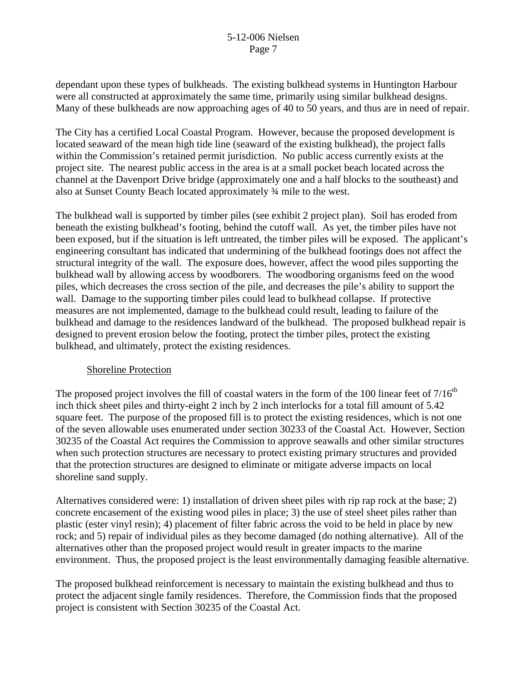dependant upon these types of bulkheads. The existing bulkhead systems in Huntington Harbour were all constructed at approximately the same time, primarily using similar bulkhead designs. Many of these bulkheads are now approaching ages of 40 to 50 years, and thus are in need of repair.

The City has a certified Local Coastal Program. However, because the proposed development is located seaward of the mean high tide line (seaward of the existing bulkhead), the project falls within the Commission's retained permit jurisdiction. No public access currently exists at the project site. The nearest public access in the area is at a small pocket beach located across the channel at the Davenport Drive bridge (approximately one and a half blocks to the southeast) and also at Sunset County Beach located approximately ¾ mile to the west.

The bulkhead wall is supported by timber piles (see exhibit 2 project plan). Soil has eroded from beneath the existing bulkhead's footing, behind the cutoff wall. As yet, the timber piles have not been exposed, but if the situation is left untreated, the timber piles will be exposed. The applicant's engineering consultant has indicated that undermining of the bulkhead footings does not affect the structural integrity of the wall. The exposure does, however, affect the wood piles supporting the bulkhead wall by allowing access by woodborers. The woodboring organisms feed on the wood piles, which decreases the cross section of the pile, and decreases the pile's ability to support the wall. Damage to the supporting timber piles could lead to bulkhead collapse. If protective measures are not implemented, damage to the bulkhead could result, leading to failure of the bulkhead and damage to the residences landward of the bulkhead. The proposed bulkhead repair is designed to prevent erosion below the footing, protect the timber piles, protect the existing bulkhead, and ultimately, protect the existing residences.

#### Shoreline Protection

The proposed project involves the fill of coastal waters in the form of the 100 linear feet of  $7/16<sup>th</sup>$ inch thick sheet piles and thirty-eight 2 inch by 2 inch interlocks for a total fill amount of 5.42 square feet. The purpose of the proposed fill is to protect the existing residences, which is not one of the seven allowable uses enumerated under section 30233 of the Coastal Act. However, Section 30235 of the Coastal Act requires the Commission to approve seawalls and other similar structures when such protection structures are necessary to protect existing primary structures and provided that the protection structures are designed to eliminate or mitigate adverse impacts on local shoreline sand supply.

Alternatives considered were: 1) installation of driven sheet piles with rip rap rock at the base; 2) concrete encasement of the existing wood piles in place; 3) the use of steel sheet piles rather than plastic (ester vinyl resin); 4) placement of filter fabric across the void to be held in place by new rock; and 5) repair of individual piles as they become damaged (do nothing alternative). All of the alternatives other than the proposed project would result in greater impacts to the marine environment. Thus, the proposed project is the least environmentally damaging feasible alternative.

The proposed bulkhead reinforcement is necessary to maintain the existing bulkhead and thus to protect the adjacent single family residences. Therefore, the Commission finds that the proposed project is consistent with Section 30235 of the Coastal Act.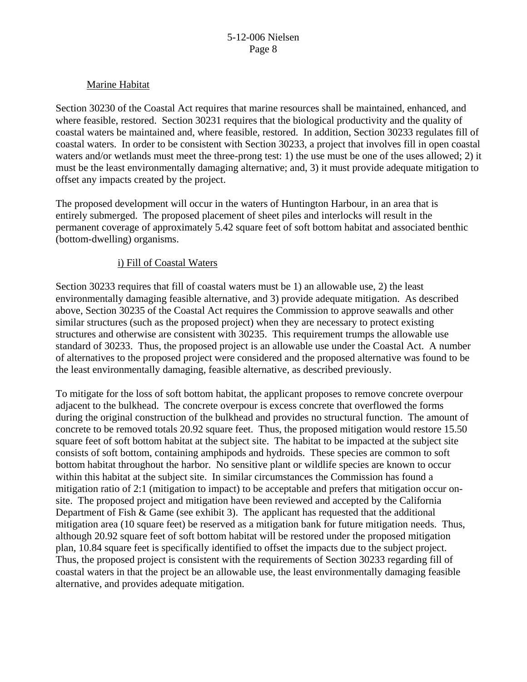#### Marine Habitat

Section 30230 of the Coastal Act requires that marine resources shall be maintained, enhanced, and where feasible, restored. Section 30231 requires that the biological productivity and the quality of coastal waters be maintained and, where feasible, restored. In addition, Section 30233 regulates fill of coastal waters. In order to be consistent with Section 30233, a project that involves fill in open coastal waters and/or wetlands must meet the three-prong test: 1) the use must be one of the uses allowed; 2) it must be the least environmentally damaging alternative; and, 3) it must provide adequate mitigation to offset any impacts created by the project.

The proposed development will occur in the waters of Huntington Harbour, in an area that is entirely submerged. The proposed placement of sheet piles and interlocks will result in the permanent coverage of approximately 5.42 square feet of soft bottom habitat and associated benthic (bottom-dwelling) organisms.

#### i) Fill of Coastal Waters

Section 30233 requires that fill of coastal waters must be 1) an allowable use, 2) the least environmentally damaging feasible alternative, and 3) provide adequate mitigation. As described above, Section 30235 of the Coastal Act requires the Commission to approve seawalls and other similar structures (such as the proposed project) when they are necessary to protect existing structures and otherwise are consistent with 30235. This requirement trumps the allowable use standard of 30233. Thus, the proposed project is an allowable use under the Coastal Act. A number of alternatives to the proposed project were considered and the proposed alternative was found to be the least environmentally damaging, feasible alternative, as described previously.

To mitigate for the loss of soft bottom habitat, the applicant proposes to remove concrete overpour adjacent to the bulkhead. The concrete overpour is excess concrete that overflowed the forms during the original construction of the bulkhead and provides no structural function. The amount of concrete to be removed totals 20.92 square feet. Thus, the proposed mitigation would restore 15.50 square feet of soft bottom habitat at the subject site. The habitat to be impacted at the subject site consists of soft bottom, containing amphipods and hydroids. These species are common to soft bottom habitat throughout the harbor. No sensitive plant or wildlife species are known to occur within this habitat at the subject site. In similar circumstances the Commission has found a mitigation ratio of 2:1 (mitigation to impact) to be acceptable and prefers that mitigation occur onsite. The proposed project and mitigation have been reviewed and accepted by the California Department of Fish & Game (see exhibit 3). The applicant has requested that the additional mitigation area (10 square feet) be reserved as a mitigation bank for future mitigation needs. Thus, although 20.92 square feet of soft bottom habitat will be restored under the proposed mitigation plan, 10.84 square feet is specifically identified to offset the impacts due to the subject project. Thus, the proposed project is consistent with the requirements of Section 30233 regarding fill of coastal waters in that the project be an allowable use, the least environmentally damaging feasible alternative, and provides adequate mitigation.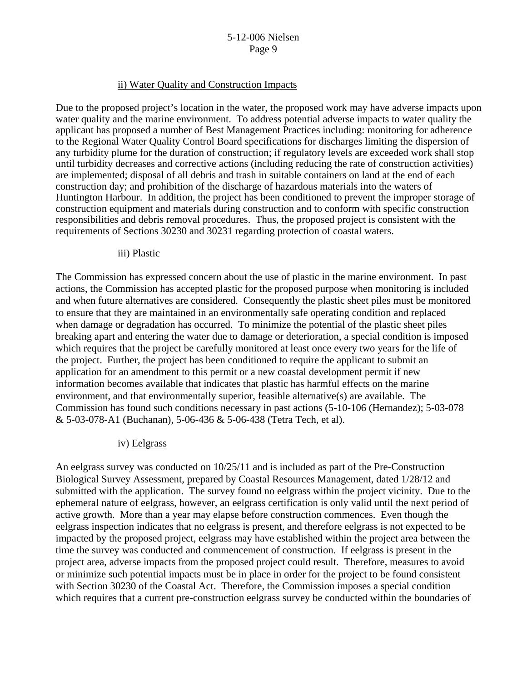#### ii) Water Quality and Construction Impacts

Due to the proposed project's location in the water, the proposed work may have adverse impacts upon water quality and the marine environment. To address potential adverse impacts to water quality the applicant has proposed a number of Best Management Practices including: monitoring for adherence to the Regional Water Quality Control Board specifications for discharges limiting the dispersion of any turbidity plume for the duration of construction; if regulatory levels are exceeded work shall stop until turbidity decreases and corrective actions (including reducing the rate of construction activities) are implemented; disposal of all debris and trash in suitable containers on land at the end of each construction day; and prohibition of the discharge of hazardous materials into the waters of Huntington Harbour. In addition, the project has been conditioned to prevent the improper storage of construction equipment and materials during construction and to conform with specific construction responsibilities and debris removal procedures. Thus, the proposed project is consistent with the requirements of Sections 30230 and 30231 regarding protection of coastal waters.

#### iii) Plastic

The Commission has expressed concern about the use of plastic in the marine environment. In past actions, the Commission has accepted plastic for the proposed purpose when monitoring is included and when future alternatives are considered. Consequently the plastic sheet piles must be monitored to ensure that they are maintained in an environmentally safe operating condition and replaced when damage or degradation has occurred. To minimize the potential of the plastic sheet piles breaking apart and entering the water due to damage or deterioration, a special condition is imposed which requires that the project be carefully monitored at least once every two years for the life of the project. Further, the project has been conditioned to require the applicant to submit an application for an amendment to this permit or a new coastal development permit if new information becomes available that indicates that plastic has harmful effects on the marine environment, and that environmentally superior, feasible alternative(s) are available. The Commission has found such conditions necessary in past actions (5-10-106 (Hernandez); 5-03-078 & 5-03-078-A1 (Buchanan), 5-06-436 & 5-06-438 (Tetra Tech, et al).

#### iv) Eelgrass

An eelgrass survey was conducted on 10/25/11 and is included as part of the Pre-Construction Biological Survey Assessment, prepared by Coastal Resources Management, dated 1/28/12 and submitted with the application. The survey found no eelgrass within the project vicinity. Due to the ephemeral nature of eelgrass, however, an eelgrass certification is only valid until the next period of active growth. More than a year may elapse before construction commences. Even though the eelgrass inspection indicates that no eelgrass is present, and therefore eelgrass is not expected to be impacted by the proposed project, eelgrass may have established within the project area between the time the survey was conducted and commencement of construction. If eelgrass is present in the project area, adverse impacts from the proposed project could result. Therefore, measures to avoid or minimize such potential impacts must be in place in order for the project to be found consistent with Section 30230 of the Coastal Act. Therefore, the Commission imposes a special condition which requires that a current pre-construction eelgrass survey be conducted within the boundaries of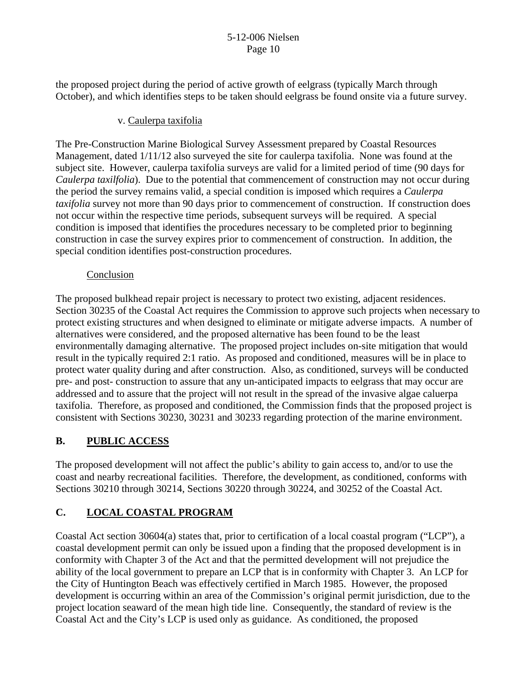the proposed project during the period of active growth of eelgrass (typically March through October), and which identifies steps to be taken should eelgrass be found onsite via a future survey.

## v. Caulerpa taxifolia

The Pre-Construction Marine Biological Survey Assessment prepared by Coastal Resources Management, dated 1/11/12 also surveyed the site for caulerpa taxifolia. None was found at the subject site. However, caulerpa taxifolia surveys are valid for a limited period of time (90 days for *Caulerpa taxilfolia*). Due to the potential that commencement of construction may not occur during the period the survey remains valid, a special condition is imposed which requires a *Caulerpa taxifolia* survey not more than 90 days prior to commencement of construction. If construction does not occur within the respective time periods, subsequent surveys will be required. A special condition is imposed that identifies the procedures necessary to be completed prior to beginning construction in case the survey expires prior to commencement of construction. In addition, the special condition identifies post-construction procedures.

### Conclusion

The proposed bulkhead repair project is necessary to protect two existing, adjacent residences. Section 30235 of the Coastal Act requires the Commission to approve such projects when necessary to protect existing structures and when designed to eliminate or mitigate adverse impacts. A number of alternatives were considered, and the proposed alternative has been found to be the least environmentally damaging alternative. The proposed project includes on-site mitigation that would result in the typically required 2:1 ratio. As proposed and conditioned, measures will be in place to protect water quality during and after construction. Also, as conditioned, surveys will be conducted pre- and post- construction to assure that any un-anticipated impacts to eelgrass that may occur are addressed and to assure that the project will not result in the spread of the invasive algae caluerpa taxifolia. Therefore, as proposed and conditioned, the Commission finds that the proposed project is consistent with Sections 30230, 30231 and 30233 regarding protection of the marine environment.

# **B. PUBLIC ACCESS**

The proposed development will not affect the public's ability to gain access to, and/or to use the coast and nearby recreational facilities. Therefore, the development, as conditioned, conforms with Sections 30210 through 30214, Sections 30220 through 30224, and 30252 of the Coastal Act.

# **C. LOCAL COASTAL PROGRAM**

Coastal Act section 30604(a) states that, prior to certification of a local coastal program ("LCP"), a coastal development permit can only be issued upon a finding that the proposed development is in conformity with Chapter 3 of the Act and that the permitted development will not prejudice the ability of the local government to prepare an LCP that is in conformity with Chapter 3. An LCP for the City of Huntington Beach was effectively certified in March 1985. However, the proposed development is occurring within an area of the Commission's original permit jurisdiction, due to the project location seaward of the mean high tide line. Consequently, the standard of review is the Coastal Act and the City's LCP is used only as guidance. As conditioned, the proposed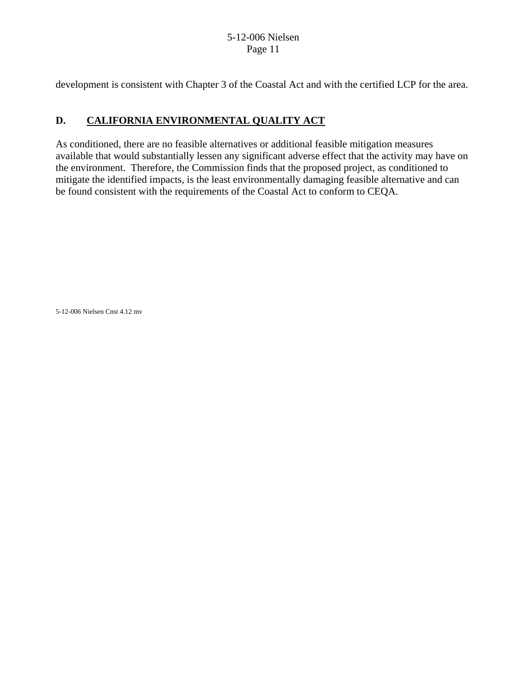development is consistent with Chapter 3 of the Coastal Act and with the certified LCP for the area.

# **D. CALIFORNIA ENVIRONMENTAL QUALITY ACT**

As conditioned, there are no feasible alternatives or additional feasible mitigation measures available that would substantially lessen any significant adverse effect that the activity may have on the environment. Therefore, the Commission finds that the proposed project, as conditioned to mitigate the identified impacts, is the least environmentally damaging feasible alternative and can be found consistent with the requirements of the Coastal Act to conform to CEQA.

5-12-006 Nielsen Cnst 4.12 mv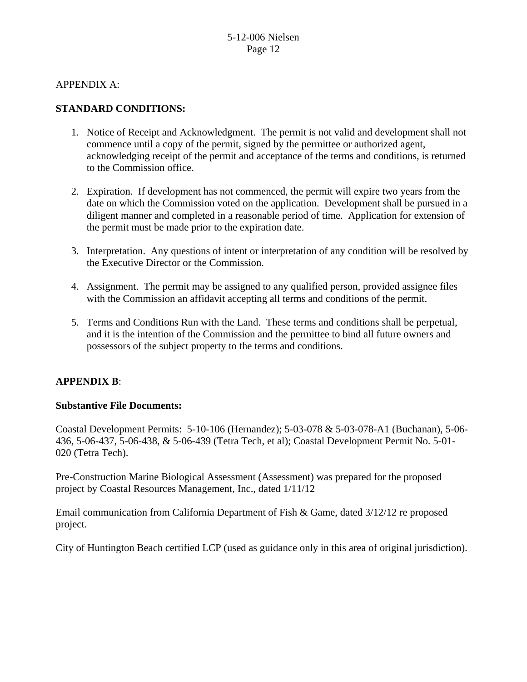APPENDIX A:

## **STANDARD CONDITIONS:**

- 1. Notice of Receipt and Acknowledgment. The permit is not valid and development shall not commence until a copy of the permit, signed by the permittee or authorized agent, acknowledging receipt of the permit and acceptance of the terms and conditions, is returned to the Commission office.
- 2. Expiration. If development has not commenced, the permit will expire two years from the date on which the Commission voted on the application. Development shall be pursued in a diligent manner and completed in a reasonable period of time. Application for extension of the permit must be made prior to the expiration date.
- 3. Interpretation. Any questions of intent or interpretation of any condition will be resolved by the Executive Director or the Commission.
- 4. Assignment. The permit may be assigned to any qualified person, provided assignee files with the Commission an affidavit accepting all terms and conditions of the permit.
- 5. Terms and Conditions Run with the Land. These terms and conditions shall be perpetual, and it is the intention of the Commission and the permittee to bind all future owners and possessors of the subject property to the terms and conditions.

## **APPENDIX B**:

## **Substantive File Documents:**

Coastal Development Permits: 5-10-106 (Hernandez); 5-03-078 & 5-03-078-A1 (Buchanan), 5-06- 436, 5-06-437, 5-06-438, & 5-06-439 (Tetra Tech, et al); Coastal Development Permit No. 5-01- 020 (Tetra Tech).

Pre-Construction Marine Biological Assessment (Assessment) was prepared for the proposed project by Coastal Resources Management, Inc., dated 1/11/12

Email communication from California Department of Fish & Game, dated 3/12/12 re proposed project.

City of Huntington Beach certified LCP (used as guidance only in this area of original jurisdiction).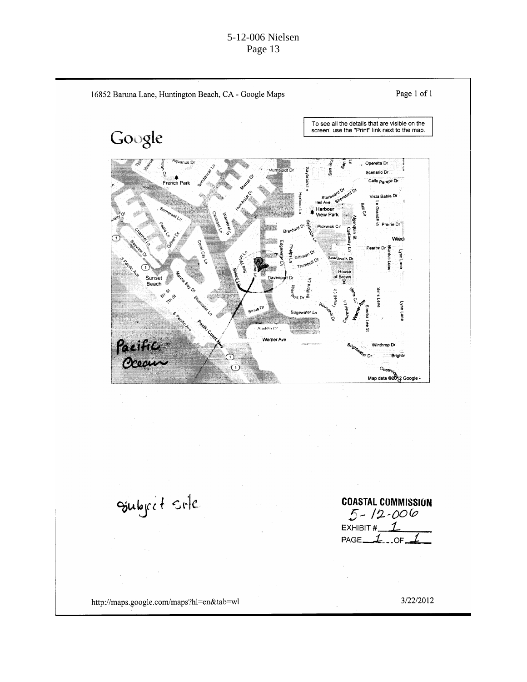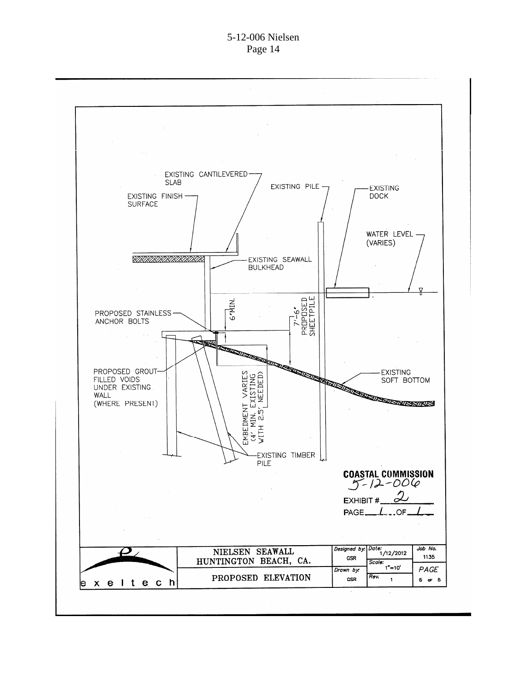